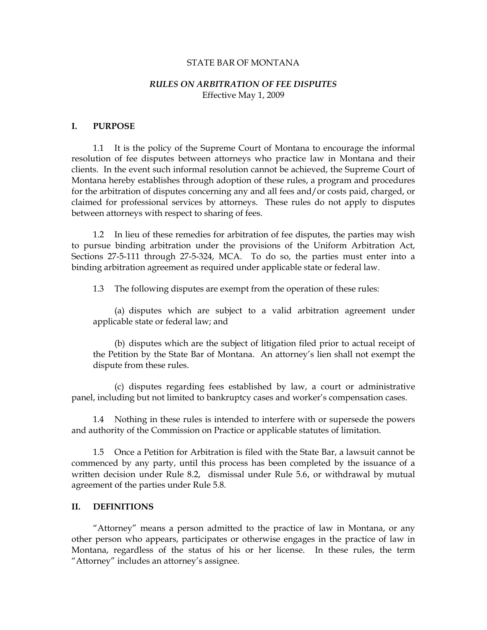#### STATE BAR OF MONTANA

### *RULES ON ARBITRATION OF FEE DISPUTES*  Effective May 1, 2009

#### **I. PURPOSE**

 1.1 It is the policy of the Supreme Court of Montana to encourage the informal resolution of fee disputes between attorneys who practice law in Montana and their clients. In the event such informal resolution cannot be achieved, the Supreme Court of Montana hereby establishes through adoption of these rules, a program and procedures for the arbitration of disputes concerning any and all fees and/or costs paid, charged, or claimed for professional services by attorneys. These rules do not apply to disputes between attorneys with respect to sharing of fees.

 1.2 In lieu of these remedies for arbitration of fee disputes, the parties may wish to pursue binding arbitration under the provisions of the Uniform Arbitration Act, Sections 27-5-111 through 27-5-324, MCA. To do so, the parties must enter into a binding arbitration agreement as required under applicable state or federal law.

1.3 The following disputes are exempt from the operation of these rules:

 (a) disputes which are subject to a valid arbitration agreement under applicable state or federal law; and

 (b) disputes which are the subject of litigation filed prior to actual receipt of the Petition by the State Bar of Montana. An attorney's lien shall not exempt the dispute from these rules.

 (c) disputes regarding fees established by law, a court or administrative panel, including but not limited to bankruptcy cases and worker's compensation cases.

 1.4 Nothing in these rules is intended to interfere with or supersede the powers and authority of the Commission on Practice or applicable statutes of limitation.

 1.5 Once a Petition for Arbitration is filed with the State Bar, a lawsuit cannot be commenced by any party, until this process has been completed by the issuance of a written decision under Rule 8.2, dismissal under Rule 5.6, or withdrawal by mutual agreement of the parties under Rule 5.8.

#### **II. DEFINITIONS**

 "Attorney" means a person admitted to the practice of law in Montana, or any other person who appears, participates or otherwise engages in the practice of law in Montana, regardless of the status of his or her license. In these rules, the term "Attorney" includes an attorney's assignee.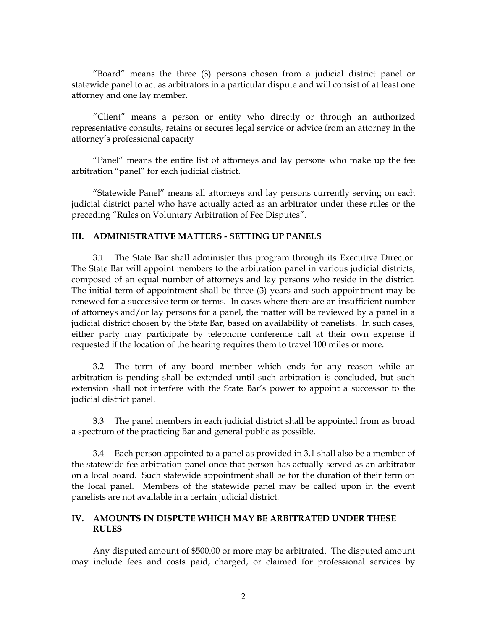"Board" means the three (3) persons chosen from a judicial district panel or statewide panel to act as arbitrators in a particular dispute and will consist of at least one attorney and one lay member.

 "Client" means a person or entity who directly or through an authorized representative consults, retains or secures legal service or advice from an attorney in the attorney's professional capacity

 "Panel" means the entire list of attorneys and lay persons who make up the fee arbitration "panel" for each judicial district.

 "Statewide Panel" means all attorneys and lay persons currently serving on each judicial district panel who have actually acted as an arbitrator under these rules or the preceding "Rules on Voluntary Arbitration of Fee Disputes".

## **III. ADMINISTRATIVE MATTERS - SETTING UP PANELS**

 3.1 The State Bar shall administer this program through its Executive Director. The State Bar will appoint members to the arbitration panel in various judicial districts, composed of an equal number of attorneys and lay persons who reside in the district. The initial term of appointment shall be three (3) years and such appointment may be renewed for a successive term or terms. In cases where there are an insufficient number of attorneys and/or lay persons for a panel, the matter will be reviewed by a panel in a judicial district chosen by the State Bar, based on availability of panelists. In such cases, either party may participate by telephone conference call at their own expense if requested if the location of the hearing requires them to travel 100 miles or more.

 3.2 The term of any board member which ends for any reason while an arbitration is pending shall be extended until such arbitration is concluded, but such extension shall not interfere with the State Bar's power to appoint a successor to the judicial district panel.

 3.3 The panel members in each judicial district shall be appointed from as broad a spectrum of the practicing Bar and general public as possible.

 3.4 Each person appointed to a panel as provided in 3.1 shall also be a member of the statewide fee arbitration panel once that person has actually served as an arbitrator on a local board. Such statewide appointment shall be for the duration of their term on the local panel. Members of the statewide panel may be called upon in the event panelists are not available in a certain judicial district.

# **IV. AMOUNTS IN DISPUTE WHICH MAY BE ARBITRATED UNDER THESE RULES**

 Any disputed amount of \$500.00 or more may be arbitrated. The disputed amount may include fees and costs paid, charged, or claimed for professional services by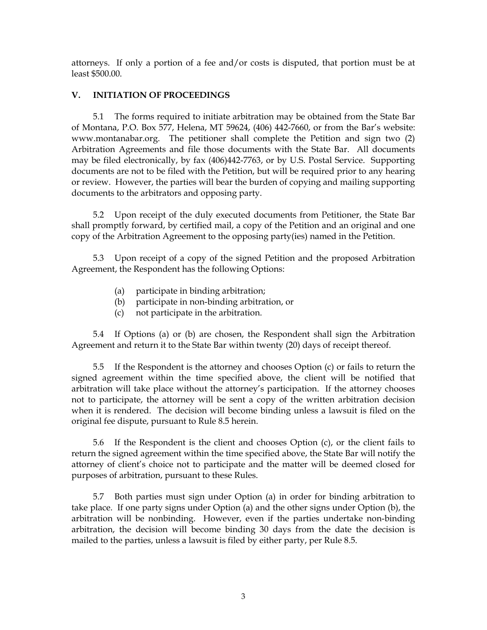attorneys. If only a portion of a fee and/or costs is disputed, that portion must be at least \$500.00.

# **V. INITIATION OF PROCEEDINGS**

 5.1 The forms required to initiate arbitration may be obtained from the State Bar of Montana, P.O. Box 577, Helena, MT 59624, (406) 442-7660, or from the Bar's website: www.montanabar.org. The petitioner shall complete the Petition and sign two (2) Arbitration Agreements and file those documents with the State Bar. All documents may be filed electronically, by fax (406)442-7763, or by U.S. Postal Service. Supporting documents are not to be filed with the Petition, but will be required prior to any hearing or review. However, the parties will bear the burden of copying and mailing supporting documents to the arbitrators and opposing party.

 5.2 Upon receipt of the duly executed documents from Petitioner, the State Bar shall promptly forward, by certified mail, a copy of the Petition and an original and one copy of the Arbitration Agreement to the opposing party(ies) named in the Petition.

 5.3 Upon receipt of a copy of the signed Petition and the proposed Arbitration Agreement, the Respondent has the following Options:

- (a) participate in binding arbitration;
- (b) participate in non-binding arbitration, or
- (c) not participate in the arbitration.

 5.4 If Options (a) or (b) are chosen, the Respondent shall sign the Arbitration Agreement and return it to the State Bar within twenty (20) days of receipt thereof.

 5.5 If the Respondent is the attorney and chooses Option (c) or fails to return the signed agreement within the time specified above, the client will be notified that arbitration will take place without the attorney's participation. If the attorney chooses not to participate, the attorney will be sent a copy of the written arbitration decision when it is rendered. The decision will become binding unless a lawsuit is filed on the original fee dispute, pursuant to Rule 8.5 herein.

 5.6 If the Respondent is the client and chooses Option (c), or the client fails to return the signed agreement within the time specified above, the State Bar will notify the attorney of client's choice not to participate and the matter will be deemed closed for purposes of arbitration, pursuant to these Rules.

 5.7 Both parties must sign under Option (a) in order for binding arbitration to take place. If one party signs under Option (a) and the other signs under Option (b), the arbitration will be nonbinding. However, even if the parties undertake non-binding arbitration, the decision will become binding 30 days from the date the decision is mailed to the parties, unless a lawsuit is filed by either party, per Rule 8.5.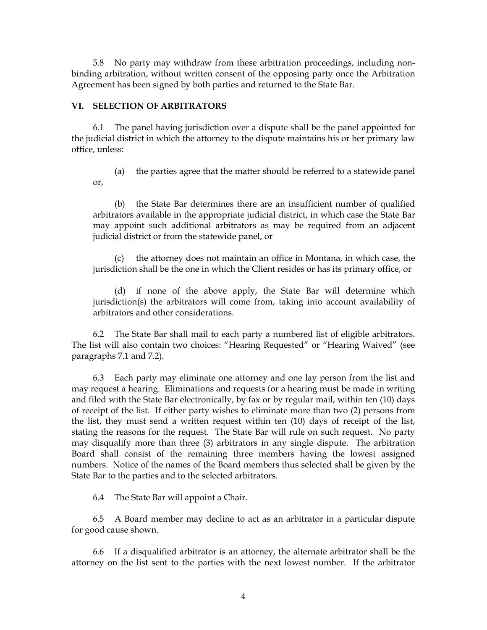5.8 No party may withdraw from these arbitration proceedings, including nonbinding arbitration, without written consent of the opposing party once the Arbitration Agreement has been signed by both parties and returned to the State Bar.

### **VI. SELECTION OF ARBITRATORS**

 6.1 The panel having jurisdiction over a dispute shall be the panel appointed for the judicial district in which the attorney to the dispute maintains his or her primary law office, unless:

 (a) the parties agree that the matter should be referred to a statewide panel or,

 (b) the State Bar determines there are an insufficient number of qualified arbitrators available in the appropriate judicial district, in which case the State Bar may appoint such additional arbitrators as may be required from an adjacent judicial district or from the statewide panel, or

 (c) the attorney does not maintain an office in Montana, in which case, the jurisdiction shall be the one in which the Client resides or has its primary office, or

 (d) if none of the above apply, the State Bar will determine which jurisdiction(s) the arbitrators will come from, taking into account availability of arbitrators and other considerations.

 6.2 The State Bar shall mail to each party a numbered list of eligible arbitrators. The list will also contain two choices: "Hearing Requested" or "Hearing Waived" (see paragraphs 7.1 and 7.2).

 6.3 Each party may eliminate one attorney and one lay person from the list and may request a hearing. Eliminations and requests for a hearing must be made in writing and filed with the State Bar electronically, by fax or by regular mail, within ten (10) days of receipt of the list. If either party wishes to eliminate more than two (2) persons from the list, they must send a written request within ten (10) days of receipt of the list, stating the reasons for the request. The State Bar will rule on such request*.* No party may disqualify more than three (3) arbitrators in any single dispute. The arbitration Board shall consist of the remaining three members having the lowest assigned numbers. Notice of the names of the Board members thus selected shall be given by the State Bar to the parties and to the selected arbitrators.

6.4 The State Bar will appoint a Chair.

 6.5 A Board member may decline to act as an arbitrator in a particular dispute for good cause shown.

 6.6 If a disqualified arbitrator is an attorney, the alternate arbitrator shall be the attorney on the list sent to the parties with the next lowest number. If the arbitrator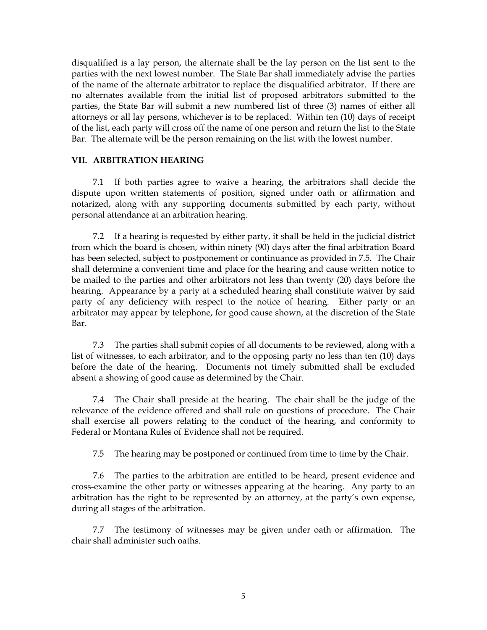disqualified is a lay person, the alternate shall be the lay person on the list sent to the parties with the next lowest number. The State Bar shall immediately advise the parties of the name of the alternate arbitrator to replace the disqualified arbitrator. If there are no alternates available from the initial list of proposed arbitrators submitted to the parties, the State Bar will submit a new numbered list of three (3) names of either all attorneys or all lay persons, whichever is to be replaced. Within ten (10) days of receipt of the list, each party will cross off the name of one person and return the list to the State Bar. The alternate will be the person remaining on the list with the lowest number.

### **VII. ARBITRATION HEARING**

 7.1 If both parties agree to waive a hearing, the arbitrators shall decide the dispute upon written statements of position, signed under oath or affirmation and notarized, along with any supporting documents submitted by each party, without personal attendance at an arbitration hearing.

 7.2 If a hearing is requested by either party, it shall be held in the judicial district from which the board is chosen, within ninety (90) days after the final arbitration Board has been selected, subject to postponement or continuance as provided in 7.5. The Chair shall determine a convenient time and place for the hearing and cause written notice to be mailed to the parties and other arbitrators not less than twenty (20) days before the hearing. Appearance by a party at a scheduled hearing shall constitute waiver by said party of any deficiency with respect to the notice of hearing. Either party or an arbitrator may appear by telephone, for good cause shown, at the discretion of the State Bar.

 7.3 The parties shall submit copies of all documents to be reviewed, along with a list of witnesses, to each arbitrator, and to the opposing party no less than ten (10) days before the date of the hearing. Documents not timely submitted shall be excluded absent a showing of good cause as determined by the Chair.

 7.4 The Chair shall preside at the hearing. The chair shall be the judge of the relevance of the evidence offered and shall rule on questions of procedure. The Chair shall exercise all powers relating to the conduct of the hearing, and conformity to Federal or Montana Rules of Evidence shall not be required.

7.5 The hearing may be postponed or continued from time to time by the Chair.

 7.6 The parties to the arbitration are entitled to be heard, present evidence and cross-examine the other party or witnesses appearing at the hearing. Any party to an arbitration has the right to be represented by an attorney, at the party's own expense, during all stages of the arbitration.

 7.7 The testimony of witnesses may be given under oath or affirmation. The chair shall administer such oaths.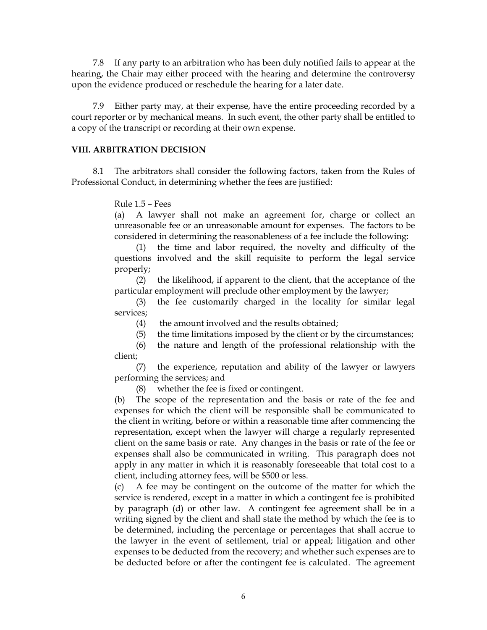7.8 If any party to an arbitration who has been duly notified fails to appear at the hearing, the Chair may either proceed with the hearing and determine the controversy upon the evidence produced or reschedule the hearing for a later date.

 7.9 Either party may, at their expense, have the entire proceeding recorded by a court reporter or by mechanical means. In such event, the other party shall be entitled to a copy of the transcript or recording at their own expense.

### **VIII. ARBITRATION DECISION**

 8.1 The arbitrators shall consider the following factors, taken from the Rules of Professional Conduct, in determining whether the fees are justified:

Rule 1.5 – Fees

(a) A lawyer shall not make an agreement for, charge or collect an unreasonable fee or an unreasonable amount for expenses. The factors to be considered in determining the reasonableness of a fee include the following:

 (1) the time and labor required, the novelty and difficulty of the questions involved and the skill requisite to perform the legal service properly;

 (2) the likelihood, if apparent to the client, that the acceptance of the particular employment will preclude other employment by the lawyer;

 (3) the fee customarily charged in the locality for similar legal services;

(4) the amount involved and the results obtained;

(5) the time limitations imposed by the client or by the circumstances;

 (6) the nature and length of the professional relationship with the client;

 (7) the experience, reputation and ability of the lawyer or lawyers performing the services; and

(8) whether the fee is fixed or contingent.

(b) The scope of the representation and the basis or rate of the fee and expenses for which the client will be responsible shall be communicated to the client in writing, before or within a reasonable time after commencing the representation, except when the lawyer will charge a regularly represented client on the same basis or rate. Any changes in the basis or rate of the fee or expenses shall also be communicated in writing. This paragraph does not apply in any matter in which it is reasonably foreseeable that total cost to a client, including attorney fees, will be \$500 or less.

(c) A fee may be contingent on the outcome of the matter for which the service is rendered, except in a matter in which a contingent fee is prohibited by paragraph (d) or other law. A contingent fee agreement shall be in a writing signed by the client and shall state the method by which the fee is to be determined, including the percentage or percentages that shall accrue to the lawyer in the event of settlement, trial or appeal; litigation and other expenses to be deducted from the recovery; and whether such expenses are to be deducted before or after the contingent fee is calculated. The agreement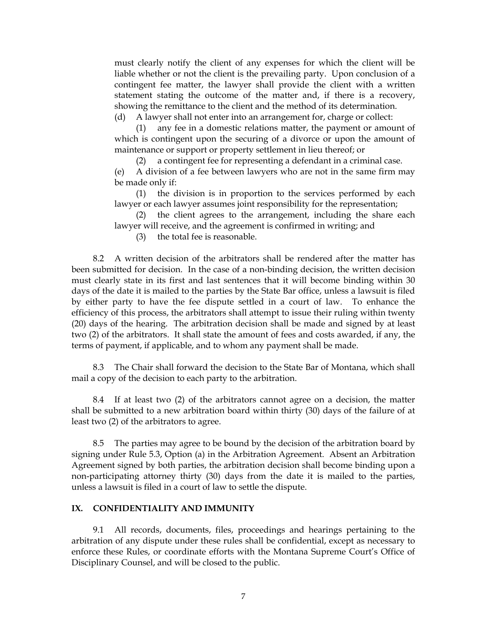must clearly notify the client of any expenses for which the client will be liable whether or not the client is the prevailing party. Upon conclusion of a contingent fee matter, the lawyer shall provide the client with a written statement stating the outcome of the matter and, if there is a recovery, showing the remittance to the client and the method of its determination.

(d) A lawyer shall not enter into an arrangement for, charge or collect:

 (1) any fee in a domestic relations matter, the payment or amount of which is contingent upon the securing of a divorce or upon the amount of maintenance or support or property settlement in lieu thereof; or

(2) a contingent fee for representing a defendant in a criminal case.

(e) A division of a fee between lawyers who are not in the same firm may be made only if:

 (1) the division is in proportion to the services performed by each lawyer or each lawyer assumes joint responsibility for the representation;

 (2) the client agrees to the arrangement, including the share each lawyer will receive, and the agreement is confirmed in writing; and

(3) the total fee is reasonable.

 8.2 A written decision of the arbitrators shall be rendered after the matter has been submitted for decision. In the case of a non-binding decision, the written decision must clearly state in its first and last sentences that it will become binding within 30 days of the date it is mailed to the parties by the State Bar office, unless a lawsuit is filed by either party to have the fee dispute settled in a court of law. To enhance the efficiency of this process, the arbitrators shall attempt to issue their ruling within twenty (20) days of the hearing. The arbitration decision shall be made and signed by at least two (2) of the arbitrators. It shall state the amount of fees and costs awarded, if any, the terms of payment, if applicable, and to whom any payment shall be made.

 8.3 The Chair shall forward the decision to the State Bar of Montana, which shall mail a copy of the decision to each party to the arbitration.

 8.4 If at least two (2) of the arbitrators cannot agree on a decision, the matter shall be submitted to a new arbitration board within thirty (30) days of the failure of at least two (2) of the arbitrators to agree.

 8.5 The parties may agree to be bound by the decision of the arbitration board by signing under Rule 5.3, Option (a) in the Arbitration Agreement. Absent an Arbitration Agreement signed by both parties, the arbitration decision shall become binding upon a non-participating attorney thirty (30) days from the date it is mailed to the parties, unless a lawsuit is filed in a court of law to settle the dispute.

## **IX. CONFIDENTIALITY AND IMMUNITY**

 9.1 All records, documents, files, proceedings and hearings pertaining to the arbitration of any dispute under these rules shall be confidential, except as necessary to enforce these Rules, or coordinate efforts with the Montana Supreme Court's Office of Disciplinary Counsel, and will be closed to the public.